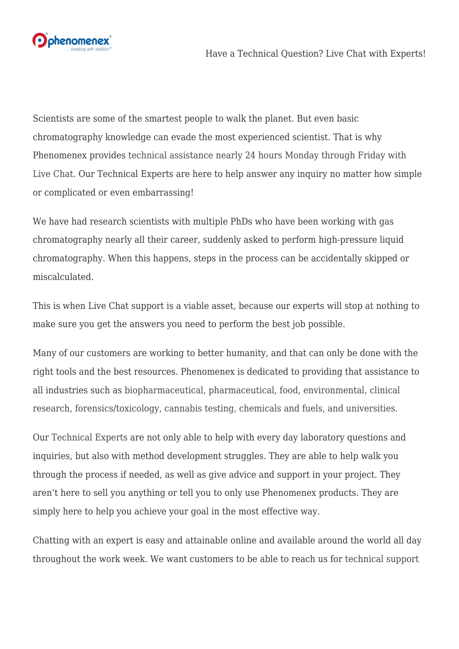

Scientists are some of the smartest people to walk the planet. But even basic chromatography knowledge can evade the most experienced scientist. That is why Phenomenex provides [technical assistance nearly 24 hours Monday through Friday with](https://bit.ly/2p5wwDL) [Live Chat.](https://bit.ly/2p5wwDL) Our Technical Experts are here to help answer any inquiry no matter how simple or complicated or even embarrassing!

We have had research scientists with multiple PhDs who have been working with gas chromatography nearly all their career, suddenly asked to perform high-pressure liquid chromatography. When this happens, steps in the process can be accidentally skipped or miscalculated.

This is when Live Chat support is a viable asset, because our experts will stop at nothing to make sure you get the answers you need to perform the best job possible.

Many of our customers are working to better humanity, and that can only be done with the right tools and the best resources. Phenomenex is dedicated to providing that assistance to all industries such as [biopharmaceutical, pharmaceutical, food, environmental, clinical](https://bit.ly/2p6KoxS) [research, forensics/toxicology, cannabis testing, chemicals and fuels, and universities.](https://bit.ly/2p6KoxS)

Our [Technical Experts](https://bit.ly/2p5wwDL) are not only able to help with every day laboratory questions and inquiries, but also with method development struggles. They are able to help walk you through the process if needed, as well as give advice and support in your project. They aren't here to sell you anything or tell you to only use Phenomenex products. They are simply here to help you achieve your goal in the most effective way.

Chatting with an expert is easy and attainable online and available around the world all day throughout the work week. We want customers to be able to reach us for [technical support](https://bit.ly/2QsWRbt)